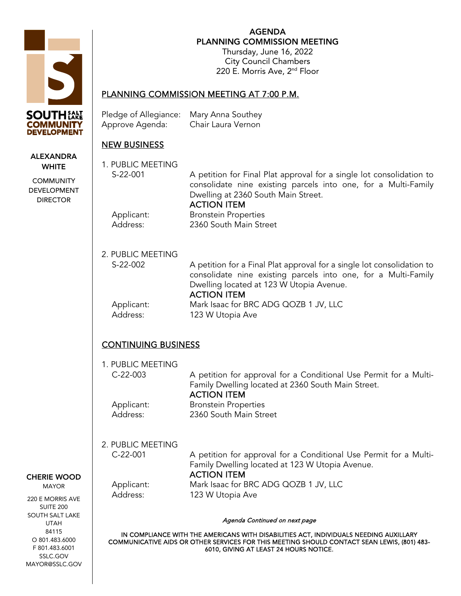

ALEXANDRA **WHITE COMMUNITY** DEVELOPMENT DIRECTOR

CHERIE WOOD MAYOR 220 E MORRIS AVE SUITE 200 SOUTH SALT LAKE UTAH 84115 O 801.483.6000 F 801.483.6001 SSLC.GOV MAYOR@SSLC.GOV

AGENDA PLANNING COMMISSION MEETING Thursday, June 16, 2022 City Council Chambers 220 E. Morris Ave, 2nd Floor

## PLANNING COMMISSION MEETING AT 7:00 P.M.

| Pledge of Allegiance: Mary Anna Southey |                    |
|-----------------------------------------|--------------------|
| Approve Agenda:                         | Chair Laura Vernon |

## NEW BUSINESS

| 1. PUBLIC MEETING<br>S-22-001   | A petition for Final Plat approval for a single lot consolidation to<br>consolidate nine existing parcels into one, for a Multi-Family<br>Dwelling at 2360 South Main Street.<br><b>ACTION ITEM</b>        |  |
|---------------------------------|------------------------------------------------------------------------------------------------------------------------------------------------------------------------------------------------------------|--|
| Applicant:<br>Address:          | <b>Bronstein Properties</b><br>2360 South Main Street                                                                                                                                                      |  |
| 2. PUBLIC MEETING<br>S-22-002   | A petition for a Final Plat approval for a single lot consolidation to<br>consolidate nine existing parcels into one, for a Multi-Family<br>Dwelling located at 123 W Utopia Avenue.<br><b>ACTION ITEM</b> |  |
| Applicant:<br>Address:          | Mark Isaac for BRC ADG QOZB 1 JV, LLC<br>123 W Utopia Ave                                                                                                                                                  |  |
| <b>CONTINUING BUSINESS</b>      |                                                                                                                                                                                                            |  |
| 1. PUBLIC MEETING<br>$C-22-003$ | A petition for approval for a Conditional Use Permit for a Multi-<br>Family Dwelling located at 2360 South Main Street.<br><b>ACTION ITEM</b>                                                              |  |
| Applicant:<br>Address:          | <b>Bronstein Properties</b><br>2360 South Main Street                                                                                                                                                      |  |
| 2. PUBLIC MEETING<br>$C-22-001$ | A petition for approval for a Conditional Use Permit for a Multi-<br>Family Dwelling located at 123 W Utopia Avenue.<br><b>ACTION ITEM</b>                                                                 |  |
| Applicant:<br>Address:          | Mark Isaac for BRC ADG QOZB 1 JV, LLC<br>123 W Utopia Ave                                                                                                                                                  |  |
|                                 | <u>ITLYY DUJINLUJ</u>                                                                                                                                                                                      |  |

Agenda Continued on next page

IN COMPLIANCE WITH THE AMERICANS WITH DISABILITIES ACT, INDIVIDUALS NEEDING AUXILLARY COMMUNICATIVE AIDS OR OTHER SERVICES FOR THIS MEETING SHOULD CONTACT SEAN LEWIS, (801) 483- 6010, GIVING AT LEAST 24 HOURS NOTICE.